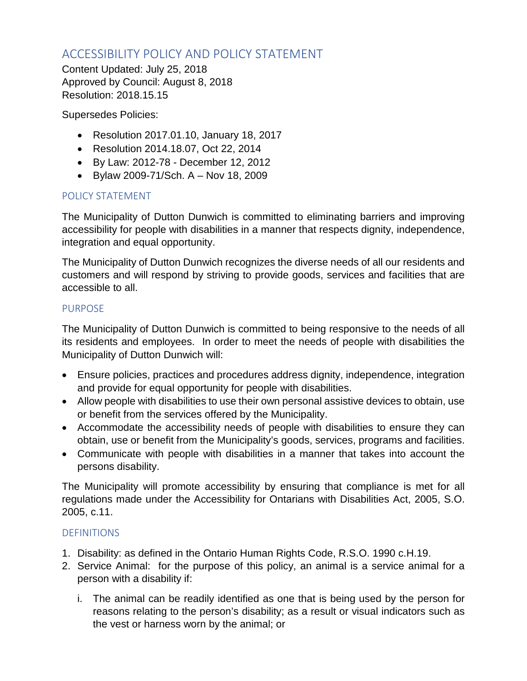# ACCESSIBILITY POLICY AND POLICY STATEMENT

Content Updated: July 25, 2018 Approved by Council: August 8, 2018 Resolution: 2018.15.15

Supersedes Policies:

- Resolution 2017.01.10, January 18, 2017
- Resolution 2014.18.07, Oct 22, 2014
- By Law: 2012-78 December 12, 2012
- Bylaw 2009-71/Sch. A Nov 18, 2009

## POLICY STATEMENT

The Municipality of Dutton Dunwich is committed to eliminating barriers and improving accessibility for people with disabilities in a manner that respects dignity, independence, integration and equal opportunity.

The Municipality of Dutton Dunwich recognizes the diverse needs of all our residents and customers and will respond by striving to provide goods, services and facilities that are accessible to all.

#### PURPOSE

The Municipality of Dutton Dunwich is committed to being responsive to the needs of all its residents and employees. In order to meet the needs of people with disabilities the Municipality of Dutton Dunwich will:

- Ensure policies, practices and procedures address dignity, independence, integration and provide for equal opportunity for people with disabilities.
- Allow people with disabilities to use their own personal assistive devices to obtain, use or benefit from the services offered by the Municipality.
- Accommodate the accessibility needs of people with disabilities to ensure they can obtain, use or benefit from the Municipality's goods, services, programs and facilities.
- Communicate with people with disabilities in a manner that takes into account the persons disability.

The Municipality will promote accessibility by ensuring that compliance is met for all regulations made under the Accessibility for Ontarians with Disabilities Act, 2005, S.O. 2005, c.11.

## **DEFINITIONS**

- 1. Disability: as defined in the Ontario Human Rights Code, R.S.O. 1990 c.H.19.
- 2. Service Animal: for the purpose of this policy, an animal is a service animal for a person with a disability if:
	- i. The animal can be readily identified as one that is being used by the person for reasons relating to the person's disability; as a result or visual indicators such as the vest or harness worn by the animal; or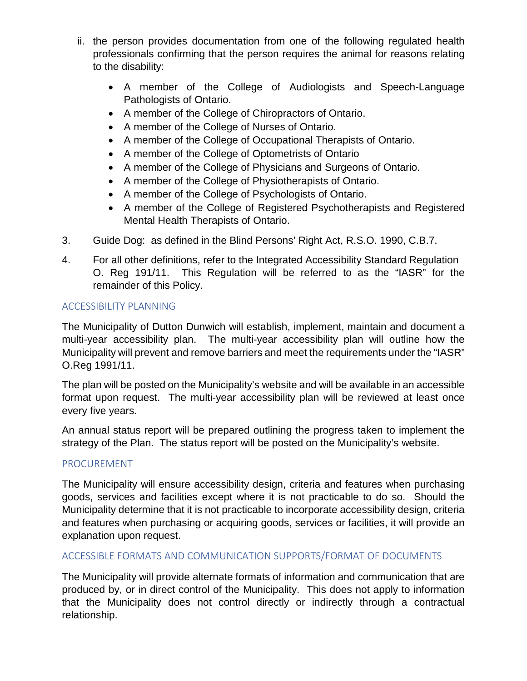- ii. the person provides documentation from one of the following regulated health professionals confirming that the person requires the animal for reasons relating to the disability:
	- A member of the College of Audiologists and Speech-Language Pathologists of Ontario.
	- A member of the College of Chiropractors of Ontario.
	- A member of the College of Nurses of Ontario.
	- A member of the College of Occupational Therapists of Ontario.
	- A member of the College of Optometrists of Ontario
	- A member of the College of Physicians and Surgeons of Ontario.
	- A member of the College of Physiotherapists of Ontario.
	- A member of the College of Psychologists of Ontario.
	- A member of the College of Registered Psychotherapists and Registered Mental Health Therapists of Ontario.
- 3. Guide Dog: as defined in the Blind Persons' Right Act, R.S.O. 1990, C.B.7.
- 4. For all other definitions, refer to the Integrated Accessibility Standard Regulation O. Reg 191/11. This Regulation will be referred to as the "IASR" for the remainder of this Policy.

## ACCESSIBILITY PLANNING

The Municipality of Dutton Dunwich will establish, implement, maintain and document a multi-year accessibility plan. The multi-year accessibility plan will outline how the Municipality will prevent and remove barriers and meet the requirements under the "IASR" O.Reg 1991/11.

The plan will be posted on the Municipality's website and will be available in an accessible format upon request. The multi-year accessibility plan will be reviewed at least once every five years.

An annual status report will be prepared outlining the progress taken to implement the strategy of the Plan. The status report will be posted on the Municipality's website.

## PROCUREMENT

The Municipality will ensure accessibility design, criteria and features when purchasing goods, services and facilities except where it is not practicable to do so. Should the Municipality determine that it is not practicable to incorporate accessibility design, criteria and features when purchasing or acquiring goods, services or facilities, it will provide an explanation upon request.

## ACCESSIBLE FORMATS AND COMMUNICATION SUPPORTS/FORMAT OF DOCUMENTS

The Municipality will provide alternate formats of information and communication that are produced by, or in direct control of the Municipality. This does not apply to information that the Municipality does not control directly or indirectly through a contractual relationship.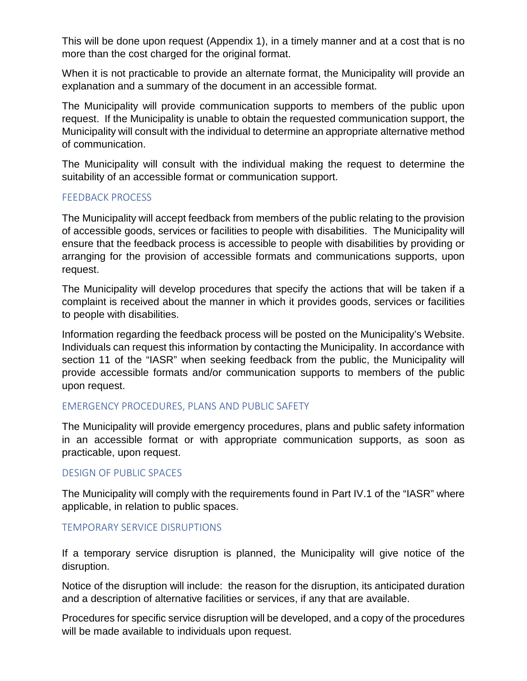This will be done upon request (Appendix 1), in a timely manner and at a cost that is no more than the cost charged for the original format.

When it is not practicable to provide an alternate format, the Municipality will provide an explanation and a summary of the document in an accessible format.

The Municipality will provide communication supports to members of the public upon request. If the Municipality is unable to obtain the requested communication support, the Municipality will consult with the individual to determine an appropriate alternative method of communication.

The Municipality will consult with the individual making the request to determine the suitability of an accessible format or communication support.

#### FEEDBACK PROCESS

The Municipality will accept feedback from members of the public relating to the provision of accessible goods, services or facilities to people with disabilities. The Municipality will ensure that the feedback process is accessible to people with disabilities by providing or arranging for the provision of accessible formats and communications supports, upon request.

The Municipality will develop procedures that specify the actions that will be taken if a complaint is received about the manner in which it provides goods, services or facilities to people with disabilities.

Information regarding the feedback process will be posted on the Municipality's Website. Individuals can request this information by contacting the Municipality. In accordance with section 11 of the "IASR" when seeking feedback from the public, the Municipality will provide accessible formats and/or communication supports to members of the public upon request.

#### EMERGENCY PROCEDURES, PLANS AND PUBLIC SAFETY

The Municipality will provide emergency procedures, plans and public safety information in an accessible format or with appropriate communication supports, as soon as practicable, upon request.

#### DESIGN OF PUBLIC SPACES

The Municipality will comply with the requirements found in Part IV.1 of the "IASR" where applicable, in relation to public spaces.

#### TEMPORARY SERVICE DISRUPTIONS

If a temporary service disruption is planned, the Municipality will give notice of the disruption.

Notice of the disruption will include: the reason for the disruption, its anticipated duration and a description of alternative facilities or services, if any that are available.

Procedures for specific service disruption will be developed, and a copy of the procedures will be made available to individuals upon request.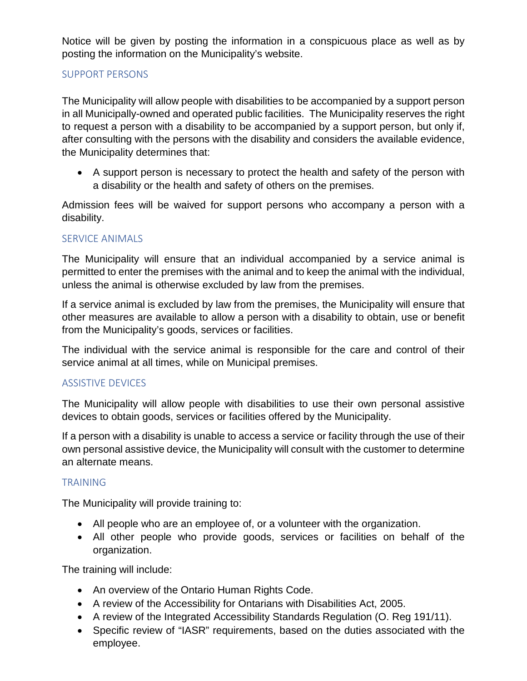Notice will be given by posting the information in a conspicuous place as well as by posting the information on the Municipality's website.

### SUPPORT PERSONS

The Municipality will allow people with disabilities to be accompanied by a support person in all Municipally-owned and operated public facilities. The Municipality reserves the right to request a person with a disability to be accompanied by a support person, but only if, after consulting with the persons with the disability and considers the available evidence, the Municipality determines that:

• A support person is necessary to protect the health and safety of the person with a disability or the health and safety of others on the premises.

Admission fees will be waived for support persons who accompany a person with a disability.

#### SERVICE ANIMALS

The Municipality will ensure that an individual accompanied by a service animal is permitted to enter the premises with the animal and to keep the animal with the individual, unless the animal is otherwise excluded by law from the premises.

If a service animal is excluded by law from the premises, the Municipality will ensure that other measures are available to allow a person with a disability to obtain, use or benefit from the Municipality's goods, services or facilities.

The individual with the service animal is responsible for the care and control of their service animal at all times, while on Municipal premises.

#### ASSISTIVE DEVICES

The Municipality will allow people with disabilities to use their own personal assistive devices to obtain goods, services or facilities offered by the Municipality.

If a person with a disability is unable to access a service or facility through the use of their own personal assistive device, the Municipality will consult with the customer to determine an alternate means.

#### TRAINING

The Municipality will provide training to:

- All people who are an employee of, or a volunteer with the organization.
- All other people who provide goods, services or facilities on behalf of the organization.

The training will include:

- An overview of the Ontario Human Rights Code.
- A review of the Accessibility for Ontarians with Disabilities Act, 2005.
- A review of the Integrated Accessibility Standards Regulation (O. Reg 191/11).
- Specific review of "IASR" requirements, based on the duties associated with the employee.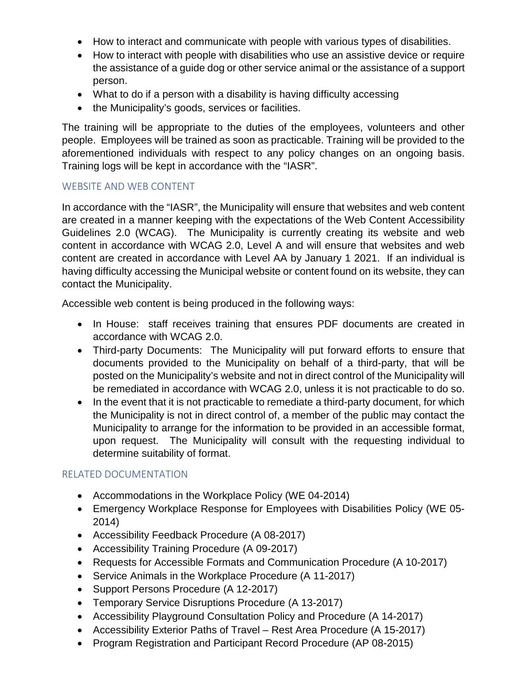- How to interact and communicate with people with various types of disabilities.
- How to interact with people with disabilities who use an assistive device or require the assistance of a guide dog or other service animal or the assistance of a support person.
- What to do if a person with a disability is having difficulty accessing
- the Municipality's goods, services or facilities.

The training will be appropriate to the duties of the employees, volunteers and other people. Employees will be trained as soon as practicable. Training will be provided to the aforementioned individuals with respect to any policy changes on an ongoing basis. Training logs will be kept in accordance with the "IASR".

#### WEBSITE AND WEB CONTENT

In accordance with the "IASR", the Municipality will ensure that websites and web content are created in a manner keeping with the expectations of the Web Content Accessibility Guidelines 2.0 (WCAG). The Municipality is currently creating its website and web content in accordance with WCAG 2.0, Level A and will ensure that websites and web content are created in accordance with Level AA by January 1 2021. If an individual is having difficulty accessing the Municipal website or content found on its website, they can contact the Municipality.

Accessible web content is being produced in the following ways:

- In House: staff receives training that ensures PDF documents are created in accordance with WCAG 2.0.
- Third-party Documents: The Municipality will put forward efforts to ensure that documents provided to the Municipality on behalf of a third-party, that will be posted on the Municipality's website and not in direct control of the Municipality will be remediated in accordance with WCAG 2.0, unless it is not practicable to do so.
- In the event that it is not practicable to remediate a third-party document, for which the Municipality is not in direct control of, a member of the public may contact the Municipality to arrange for the information to be provided in an accessible format, upon request. The Municipality will consult with the requesting individual to determine suitability of format.

#### RELATED DOCUMENTATION

- Accommodations in the Workplace Policy (WE 04-2014)
- Emergency Workplace Response for Employees with Disabilities Policy (WE 05- 2014)
- Accessibility Feedback Procedure (A 08-2017)
- Accessibility Training Procedure (A 09-2017)
- Requests for Accessible Formats and Communication Procedure (A 10-2017)
- Service Animals in the Workplace Procedure (A 11-2017)
- Support Persons Procedure (A 12-2017)
- Temporary Service Disruptions Procedure (A 13-2017)
- Accessibility Playground Consultation Policy and Procedure (A 14-2017)
- Accessibility Exterior Paths of Travel Rest Area Procedure (A 15-2017)
- Program Registration and Participant Record Procedure (AP 08-2015)